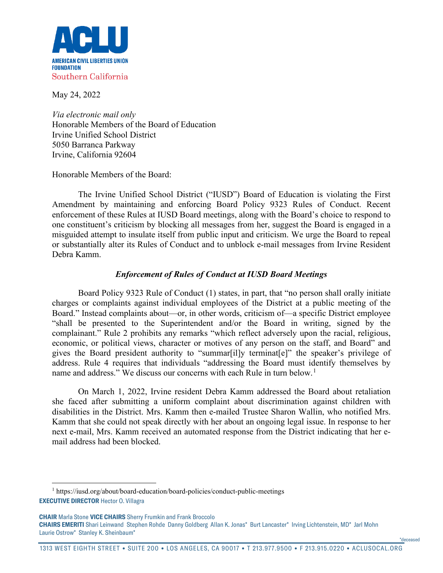

May 24, 2022

*Via electronic mail only* Honorable Members of the Board of Education Irvine Unified School District 5050 Barranca Parkway Irvine, California 92604

Honorable Members of the Board:

The Irvine Unified School District ("IUSD") Board of Education is violating the First Amendment by maintaining and enforcing Board Policy 9323 Rules of Conduct. Recent enforcement of these Rules at IUSD Board meetings, along with the Board's choice to respond to one constituent's criticism by blocking all messages from her, suggest the Board is engaged in a misguided attempt to insulate itself from public input and criticism. We urge the Board to repeal or substantially alter its Rules of Conduct and to unblock e-mail messages from Irvine Resident Debra Kamm.

# *Enforcement of Rules of Conduct at IUSD Board Meetings*

Board Policy 9323 Rule of Conduct (1) states, in part, that "no person shall orally initiate charges or complaints against individual employees of the District at a public meeting of the Board." Instead complaints about—or, in other words, criticism of—a specific District employee "shall be presented to the Superintendent and/or the Board in writing, signed by the complainant." Rule 2 prohibits any remarks "which reflect adversely upon the racial, religious, economic, or political views, character or motives of any person on the staff, and Board" and gives the Board president authority to "summar[il]y terminat[e]" the speaker's privilege of address. Rule 4 requires that individuals "addressing the Board must identify themselves by name and address." We discuss our concerns with each Rule in turn below.<sup>[1](#page-0-0)</sup>

On March 1, 2022, Irvine resident Debra Kamm addressed the Board about retaliation she faced after submitting a uniform complaint about discrimination against children with disabilities in the District. Mrs. Kamm then e-mailed Trustee Sharon Wallin, who notified Mrs. Kamm that she could not speak directly with her about an ongoing legal issue. In response to her next e-mail, Mrs. Kamm received an automated response from the District indicating that her email address had been blocked.

\*deceased

<span id="page-0-0"></span>**EXECUTIVE DIRECTOR** Hector O. Villagra <sup>1</sup> https://iusd.org/about/board-education/board-policies/conduct-public-meetings

**CHAIR** Marla Stone **VICE CHAIRS** Sherry Frumkin and Frank Broccolo **CHAIRS EMERITI** Shari Leinwand Stephen Rohde Danny Goldberg Allan K. Jonas\* Burt Lancaster\* Irving Lichtenstein, MD\* Jarl Mohn Laurie Ostrow\* Stanley K. Sheinbaum\*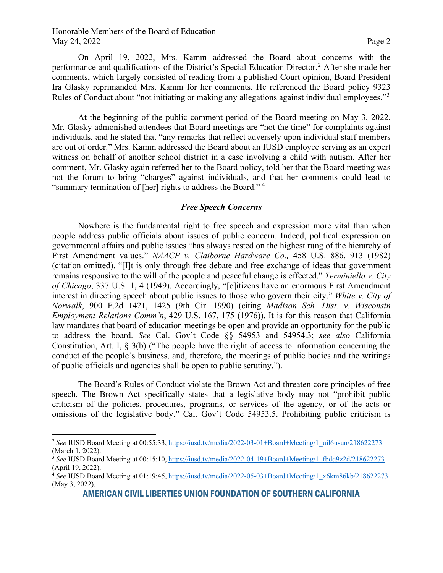### Honorable Members of the Board of Education May 24, 2022 Page 2

On April 19, 2022, Mrs. Kamm addressed the Board about concerns with the performance and qualifications of the District's Special Education Director.<sup>[2](#page-1-0)</sup> After she made her comments, which largely consisted of reading from a published Court opinion, Board President Ira Glasky reprimanded Mrs. Kamm for her comments. He referenced the Board policy 9323 Rules of Conduct about "not initiating or making any allegations against individual employees."[3](#page-1-1)

At the beginning of the public comment period of the Board meeting on May 3, 2022, Mr. Glasky admonished attendees that Board meetings are "not the time" for complaints against individuals, and he stated that "any remarks that reflect adversely upon individual staff members are out of order." Mrs. Kamm addressed the Board about an IUSD employee serving as an expert witness on behalf of another school district in a case involving a child with autism. After her comment, Mr. Glasky again referred her to the Board policy, told her that the Board meeting was not the forum to bring "charges" against individuals, and that her comments could lead to "summary termination of [her] rights to address the Board." [4](#page-1-2)

#### *Free Speech Concerns*

Nowhere is the fundamental right to free speech and expression more vital than when people address public officials about issues of public concern. Indeed, political expression on governmental affairs and public issues "has always rested on the highest rung of the hierarchy of First Amendment values." *NAACP v. Claiborne Hardware Co.,* 458 U.S. 886, 913 (1982) (citation omitted). "[I]t is only through free debate and free exchange of ideas that government remains responsive to the will of the people and peaceful change is effected." *Terminiello v. City of Chicago*, 337 U.S. 1, 4 (1949). Accordingly, "[c]itizens have an enormous First Amendment interest in directing speech about public issues to those who govern their city." *White v. City of Norwalk*, 900 F.2d 1421, 1425 (9th Cir. 1990) (citing *Madison Sch. Dist. v. Wisconsin Employment Relations Comm'n*, 429 U.S. 167, 175 (1976)). It is for this reason that California law mandates that board of education meetings be open and provide an opportunity for the public to address the board. *See* Cal. Gov't Code §§ 54953 and 54954.3; *see also* California Constitution, Art. I, § 3(b) ("The people have the right of access to information concerning the conduct of the people's business, and, therefore, the meetings of public bodies and the writings of public officials and agencies shall be open to public scrutiny.").

The Board's Rules of Conduct violate the Brown Act and threaten core principles of free speech. The Brown Act specifically states that a legislative body may not "prohibit public criticism of the policies, procedures, programs, or services of the agency, or of the acts or omissions of the legislative body." Cal. Gov't Code 54953.5. Prohibiting public criticism is

<span id="page-1-0"></span><sup>&</sup>lt;sup>2</sup> See IUSD Board Meeting at 00:55:33, [https://iusd.tv/media/2022-03-01+Board+Meeting/1\\_uil6usun/218622273](https://iusd.tv/media/2022-03-01+Board+Meeting/1_uil6usun/218622273) (March 1, 2022).

<span id="page-1-1"></span><sup>3</sup> *See* IUSD Board Meeting at 00:15:10, [https://iusd.tv/media/2022-04-19+Board+Meeting/1\\_fbdq9z2d/218622273](https://iusd.tv/media/2022-04-19+Board+Meeting/1_fbdq9z2d/218622273) (April 19, 2022).

<span id="page-1-2"></span><sup>4</sup> *See* IUSD Board Meeting at 01:19:45, [https://iusd.tv/media/2022-05-03+Board+Meeting/1\\_x6km86kb/218622273](https://iusd.tv/media/2022-05-03+Board+Meeting/1_x6km86kb/218622273) (May 3, 2022).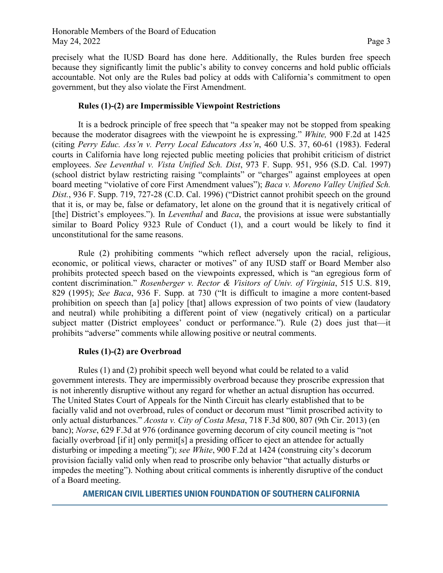precisely what the IUSD Board has done here. Additionally, the Rules burden free speech because they significantly limit the public's ability to convey concerns and hold public officials accountable. Not only are the Rules bad policy at odds with California's commitment to open government, but they also violate the First Amendment.

# **Rules (1)-(2) are Impermissible Viewpoint Restrictions**

It is a bedrock principle of free speech that "a speaker may not be stopped from speaking because the moderator disagrees with the viewpoint he is expressing." *White,* 900 F.2d at 1425 (citing *Perry Educ. Ass'n v. Perry Local Educators Ass'n*, 460 U.S. 37, 60-61 (1983). Federal courts in California have long rejected public meeting policies that prohibit criticism of district employees. *See Leventhal v. Vista Unified Sch. Dist*, 973 F. Supp. 951, 956 (S.D. Cal. 1997) (school district bylaw restricting raising "complaints" or "charges" against employees at open board meeting "violative of core First Amendment values"); *Baca v. Moreno Valley Unified Sch. Dist.*, 936 F. Supp. 719, 727-28 (C.D. Cal. 1996) ("District cannot prohibit speech on the ground that it is, or may be, false or defamatory, let alone on the ground that it is negatively critical of [the] District's employees."). In *Leventhal* and *Baca*, the provisions at issue were substantially similar to Board Policy 9323 Rule of Conduct (1), and a court would be likely to find it unconstitutional for the same reasons.

Rule (2) prohibiting comments "which reflect adversely upon the racial, religious, economic, or political views, character or motives" of any IUSD staff or Board Member also prohibits protected speech based on the viewpoints expressed, which is "an egregious form of content discrimination." *Rosenberger v. Rector & Visitors of Univ. of Virginia*, 515 U.S. 819, 829 (1995); *See Baca*, 936 F. Supp. at 730 ("It is difficult to imagine a more content-based prohibition on speech than [a] policy [that] allows expression of two points of view (laudatory and neutral) while prohibiting a different point of view (negatively critical) on a particular subject matter (District employees' conduct or performance."). Rule (2) does just that—it prohibits "adverse" comments while allowing positive or neutral comments.

### **Rules (1)-(2) are Overbroad**

Rules (1) and (2) prohibit speech well beyond what could be related to a valid government interests. They are impermissibly overbroad because they proscribe expression that is not inherently disruptive without any regard for whether an actual disruption has occurred. The United States Court of Appeals for the Ninth Circuit has clearly established that to be facially valid and not overbroad, rules of conduct or decorum must "limit proscribed activity to only actual disturbances." *Acosta v. City of Costa Mesa*, 718 F.3d 800, 807 (9th Cir. 2013) (en banc); *Norse*, 629 F.3d at 976 (ordinance governing decorum of city council meeting is "not facially overbroad [if it] only permit[s] a presiding officer to eject an attendee for actually disturbing or impeding a meeting"); *see White*, 900 F.2d at 1424 (construing city's decorum provision facially valid only when read to proscribe only behavior "that actually disturbs or impedes the meeting"). Nothing about critical comments is inherently disruptive of the conduct of a Board meeting.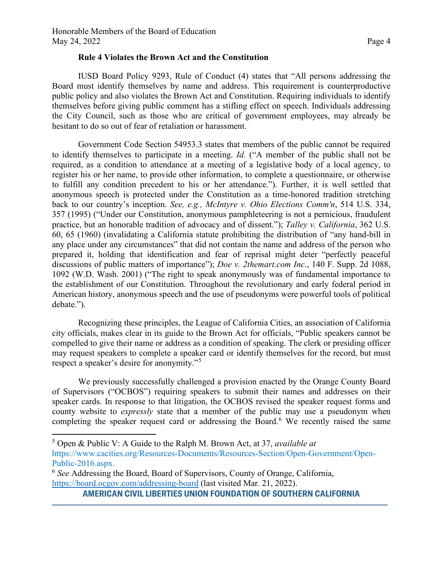#### **Rule 4 Violates the Brown Act and the Constitution**

IUSD Board Policy 9293, Rule of Conduct (4) states that "All persons addressing the Board must identify themselves by name and address. This requirement is counterproductive public policy and also violates the Brown Act and Constitution. Requiring individuals to identify themselves before giving public comment has a stifling effect on speech. Individuals addressing the City Council, such as those who are critical of government employees, may already be hesitant to do so out of fear of retaliation or harassment.

Government Code Section 54953.3 states that members of the public cannot be required to identify themselves to participate in a meeting. *Id.* ("A member of the public shall not be required, as a condition to attendance at a meeting of a legislative body of a local agency, to register his or her name, to provide other information, to complete a questionnaire, or otherwise to fulfill any condition precedent to his or her attendance."). Further, it is well settled that anonymous speech is protected under the Constitution as a time-honored tradition stretching back to our country's inception. *See, e.g., McIntyre v. Ohio Elections Comm'n*, 514 U.S. 334, 357 (1995) ("Under our Constitution, anonymous pamphleteering is not a pernicious, fraudulent practice, but an honorable tradition of advocacy and of dissent."); *Talley v. California*, 362 U.S. 60, 65 (1960) (invalidating a California statute prohibiting the distribution of "any hand-bill in any place under any circumstances" that did not contain the name and address of the person who prepared it, holding that identification and fear of reprisal might deter "perfectly peaceful discussions of public matters of importance"); *Doe v. 2themart.com Inc*., 140 F. Supp. 2d 1088, 1092 (W.D. Wash. 2001) ("The right to speak anonymously was of fundamental importance to the establishment of our Constitution. Throughout the revolutionary and early federal period in American history, anonymous speech and the use of pseudonyms were powerful tools of political debate.").

Recognizing these principles, the League of California Cities, an association of California city officials, makes clear in its guide to the Brown Act for officials, "Public speakers cannot be compelled to give their name or address as a condition of speaking. The clerk or presiding officer may request speakers to complete a speaker card or identify themselves for the record, but must respect a speaker's desire for anonymity."<sup>[5](#page-3-0)</sup>

We previously successfully challenged a provision enacted by the Orange County Board of Supervisors ("OCBOS") requiring speakers to submit their names and addresses on their speaker cards. In response to that litigation, the OCBOS revised the speaker request forms and county website to *expressly* state that a member of the public may use a pseudonym when completing the speaker request card or addressing the Board.<sup>[6](#page-3-1)</sup> We recently raised the same

<span id="page-3-0"></span><sup>5</sup> Open & Public V: A Guide to the Ralph M. Brown Act, at 37, *available at*  https://www.cacities.org/Resources-Documents/Resources-Section/Open-Government/Open-Public-2016.aspx.

<span id="page-3-1"></span><sup>6</sup> *See* Addressing the Board, Board of Supervisors, County of Orange, California, <https://board.ocgov.com/addressing-board> (last visited Mar. 21, 2022).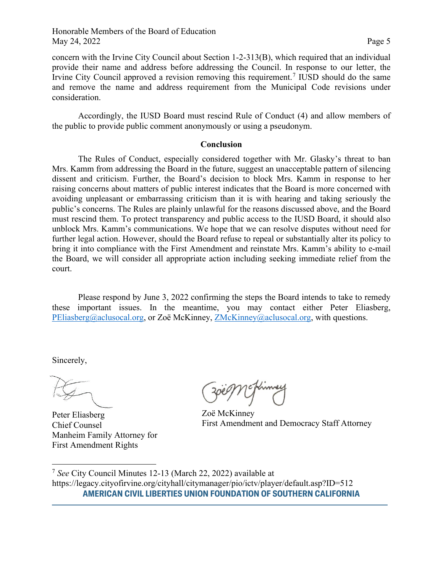concern with the Irvine City Council about Section 1-2-313(B), which required that an individual provide their name and address before addressing the Council. In response to our letter, the Irvine City Council approved a revision removing this requirement.<sup>[7](#page-4-0)</sup> IUSD should do the same and remove the name and address requirement from the Municipal Code revisions under consideration.

Accordingly, the IUSD Board must rescind Rule of Conduct (4) and allow members of the public to provide public comment anonymously or using a pseudonym.

### **Conclusion**

The Rules of Conduct, especially considered together with Mr. Glasky's threat to ban Mrs. Kamm from addressing the Board in the future, suggest an unacceptable pattern of silencing dissent and criticism. Further, the Board's decision to block Mrs. Kamm in response to her raising concerns about matters of public interest indicates that the Board is more concerned with avoiding unpleasant or embarrassing criticism than it is with hearing and taking seriously the public's concerns. The Rules are plainly unlawful for the reasons discussed above, and the Board must rescind them. To protect transparency and public access to the IUSD Board, it should also unblock Mrs. Kamm's communications. We hope that we can resolve disputes without need for further legal action. However, should the Board refuse to repeal or substantially alter its policy to bring it into compliance with the First Amendment and reinstate Mrs. Kamm's ability to e-mail the Board, we will consider all appropriate action including seeking immediate relief from the court.

Please respond by June 3, 2022 confirming the steps the Board intends to take to remedy these important issues. In the meantime, you may contact either Peter Eliasberg, [PEliasberg@aclusocal.org,](mailto:PEliasberg@aclusocal.org) or Zoë McKinney, [ZMcKinney@aclusocal.org,](mailto:ZMcKinney@aclusocal.org) with questions.

Sincerely,

Peter Eliasberg Chief Counsel Manheim Family Attorney for First Amendment Rights

Zoë McKinney First Amendment and Democracy Staff Attorney

<span id="page-4-0"></span>**AMERICAN CIVIL LIBERTIES UNION FOUNDATION OF SOUTHERN CALIFORNIA** <sup>7</sup> *See* City Council Minutes 12-13 (March 22, 2022) available at https://legacy.cityofirvine.org/cityhall/citymanager/pio/ictv/player/default.asp?ID=512